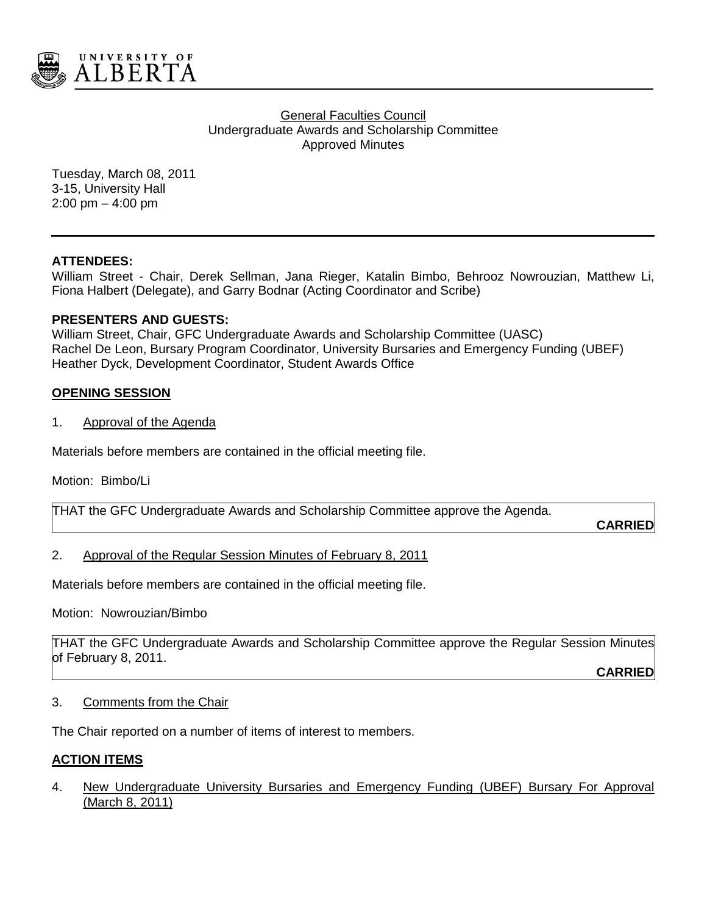

### General Faculties Council Undergraduate Awards and Scholarship Committee Approved Minutes

Tuesday, March 08, 2011 3-15, University Hall 2:00 pm – 4:00 pm

## **ATTENDEES:**

William Street - Chair, Derek Sellman, Jana Rieger, Katalin Bimbo, Behrooz Nowrouzian, Matthew Li, Fiona Halbert (Delegate), and Garry Bodnar (Acting Coordinator and Scribe)

## **PRESENTERS AND GUESTS:**

William Street, Chair, GFC Undergraduate Awards and Scholarship Committee (UASC) Rachel De Leon, Bursary Program Coordinator, University Bursaries and Emergency Funding (UBEF) Heather Dyck, Development Coordinator, Student Awards Office

## **OPENING SESSION**

1. Approval of the Agenda

Materials before members are contained in the official meeting file.

Motion: Bimbo/Li

THAT the GFC Undergraduate Awards and Scholarship Committee approve the Agenda.

**CARRIED**

## 2. Approval of the Regular Session Minutes of February 8, 2011

Materials before members are contained in the official meeting file.

Motion: Nowrouzian/Bimbo

THAT the GFC Undergraduate Awards and Scholarship Committee approve the Regular Session Minutes of February 8, 2011.

**CARRIED**

#### 3. Comments from the Chair

The Chair reported on a number of items of interest to members.

## **ACTION ITEMS**

4. New Undergraduate University Bursaries and Emergency Funding (UBEF) Bursary For Approval (March 8, 2011)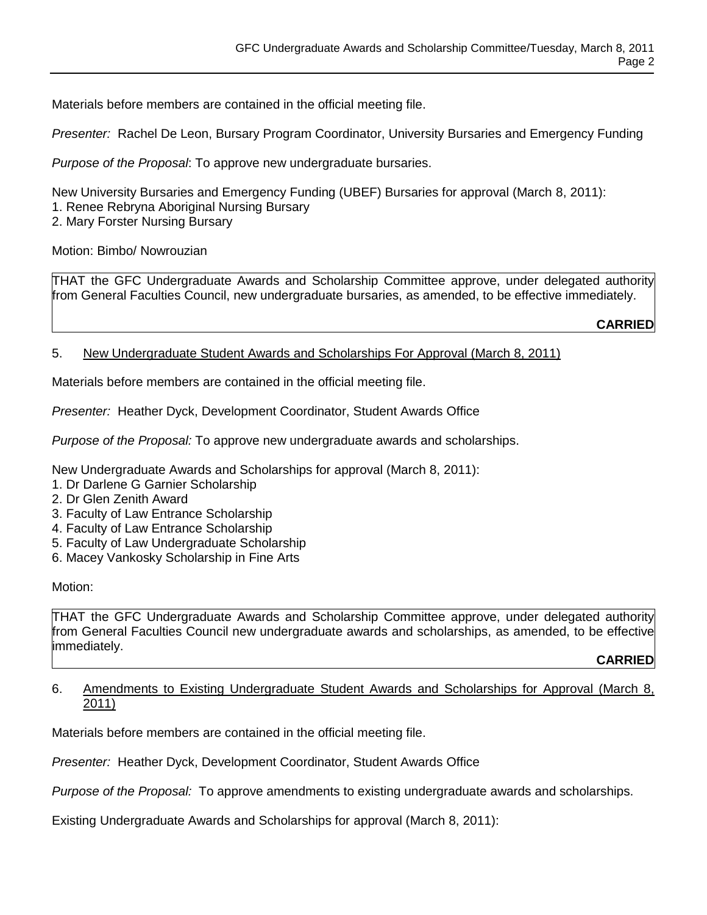Materials before members are contained in the official meeting file.

*Presenter:* Rachel De Leon, Bursary Program Coordinator, University Bursaries and Emergency Funding

*Purpose of the Proposal*: To approve new undergraduate bursaries.

New University Bursaries and Emergency Funding (UBEF) Bursaries for approval (March 8, 2011): 1. Renee Rebryna Aboriginal Nursing Bursary

2. Mary Forster Nursing Bursary

Motion: Bimbo/ Nowrouzian

THAT the GFC Undergraduate Awards and Scholarship Committee approve, under delegated authority from General Faculties Council, new undergraduate bursaries, as amended, to be effective immediately.

**CARRIED**

## 5. New Undergraduate Student Awards and Scholarships For Approval (March 8, 2011)

Materials before members are contained in the official meeting file.

*Presenter:* Heather Dyck, Development Coordinator, Student Awards Office

*Purpose of the Proposal:* To approve new undergraduate awards and scholarships.

New Undergraduate Awards and Scholarships for approval (March 8, 2011):

- 1. Dr Darlene G Garnier Scholarship
- 2. Dr Glen Zenith Award
- 3. Faculty of Law Entrance Scholarship
- 4. Faculty of Law Entrance Scholarship
- 5. Faculty of Law Undergraduate Scholarship
- 6. Macey Vankosky Scholarship in Fine Arts

Motion:

THAT the GFC Undergraduate Awards and Scholarship Committee approve, under delegated authority from General Faculties Council new undergraduate awards and scholarships, as amended, to be effective immediately.

#### **CARRIED**

#### 6. Amendments to Existing Undergraduate Student Awards and Scholarships for Approval (March 8, 2011)

Materials before members are contained in the official meeting file.

*Presenter:* Heather Dyck, Development Coordinator, Student Awards Office

*Purpose of the Proposal:* To approve amendments to existing undergraduate awards and scholarships.

Existing Undergraduate Awards and Scholarships for approval (March 8, 2011):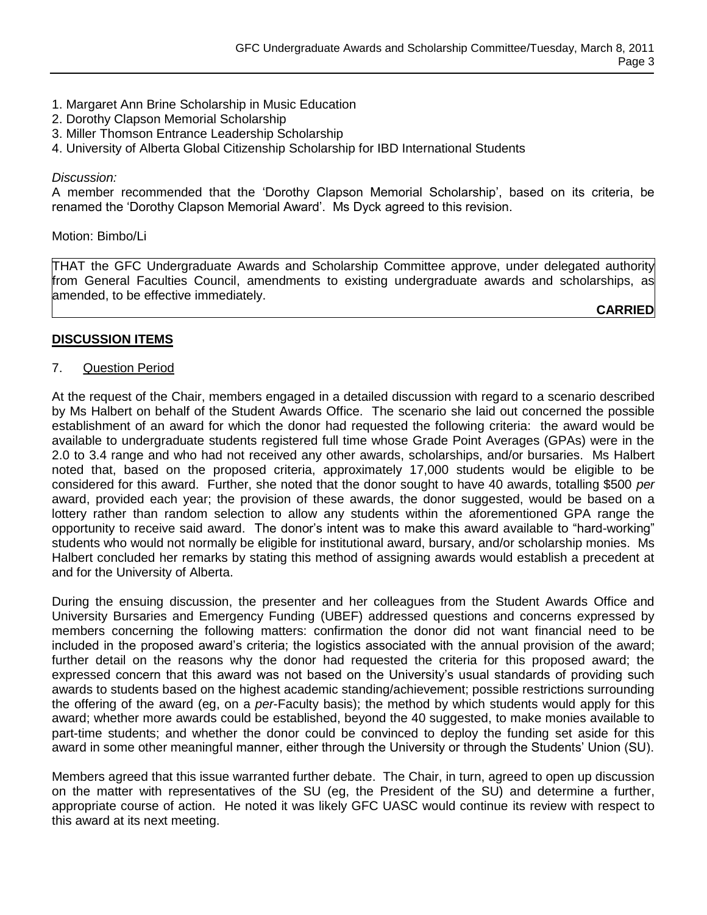- 1. Margaret Ann Brine Scholarship in Music Education
- 2. Dorothy Clapson Memorial Scholarship
- 3. Miller Thomson Entrance Leadership Scholarship
- 4. University of Alberta Global Citizenship Scholarship for IBD International Students

#### *Discussion:*

A member recommended that the "Dorothy Clapson Memorial Scholarship", based on its criteria, be renamed the "Dorothy Clapson Memorial Award". Ms Dyck agreed to this revision.

#### Motion: Bimbo/Li

THAT the GFC Undergraduate Awards and Scholarship Committee approve, under delegated authority from General Faculties Council, amendments to existing undergraduate awards and scholarships, as amended, to be effective immediately.

**CARRIED**

## **DISCUSSION ITEMS**

## 7. Question Period

At the request of the Chair, members engaged in a detailed discussion with regard to a scenario described by Ms Halbert on behalf of the Student Awards Office. The scenario she laid out concerned the possible establishment of an award for which the donor had requested the following criteria: the award would be available to undergraduate students registered full time whose Grade Point Averages (GPAs) were in the 2.0 to 3.4 range and who had not received any other awards, scholarships, and/or bursaries. Ms Halbert noted that, based on the proposed criteria, approximately 17,000 students would be eligible to be considered for this award. Further, she noted that the donor sought to have 40 awards, totalling \$500 *per* award, provided each year; the provision of these awards, the donor suggested, would be based on a lottery rather than random selection to allow any students within the aforementioned GPA range the opportunity to receive said award. The donor"s intent was to make this award available to "hard-working" students who would not normally be eligible for institutional award, bursary, and/or scholarship monies. Ms Halbert concluded her remarks by stating this method of assigning awards would establish a precedent at and for the University of Alberta.

During the ensuing discussion, the presenter and her colleagues from the Student Awards Office and University Bursaries and Emergency Funding (UBEF) addressed questions and concerns expressed by members concerning the following matters: confirmation the donor did not want financial need to be included in the proposed award"s criteria; the logistics associated with the annual provision of the award; further detail on the reasons why the donor had requested the criteria for this proposed award; the expressed concern that this award was not based on the University"s usual standards of providing such awards to students based on the highest academic standing/achievement; possible restrictions surrounding the offering of the award (eg, on a *per*-Faculty basis); the method by which students would apply for this award; whether more awards could be established, beyond the 40 suggested, to make monies available to part-time students; and whether the donor could be convinced to deploy the funding set aside for this award in some other meaningful manner, either through the University or through the Students" Union (SU).

Members agreed that this issue warranted further debate. The Chair, in turn, agreed to open up discussion on the matter with representatives of the SU (eg, the President of the SU) and determine a further, appropriate course of action. He noted it was likely GFC UASC would continue its review with respect to this award at its next meeting.